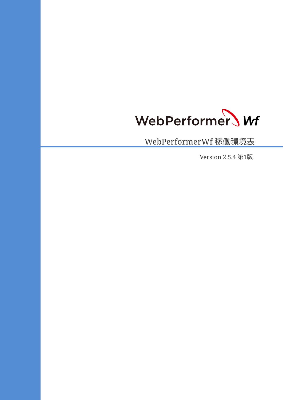

WebPerformerWf 稼働環境表

Version 2.5.4 第1版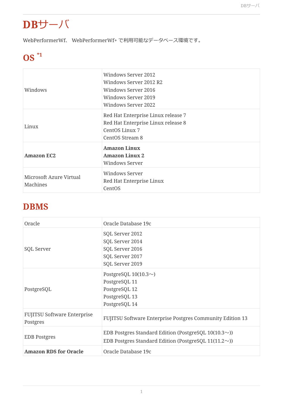## **DB**サーバ

WebPerformerWf、 WebPerformerWf+ で利用可能なデータベース環境です。

## **OS \*1**

| Windows                             | Windows Server 2012<br>Windows Server 2012 R2<br>Windows Server 2016<br>Windows Server 2019<br>Windows Server 2022 |
|-------------------------------------|--------------------------------------------------------------------------------------------------------------------|
| Linux                               | Red Hat Enterprise Linux release 7<br>Red Hat Enterprise Linux release 8<br>CentOS Linux 7<br>CentOS Stream 8      |
| <b>Amazon EC2</b>                   | <b>Amazon Linux</b><br><b>Amazon Linux 2</b><br>Windows Server                                                     |
| Microsoft Azure Virtual<br>Machines | <b>Windows Server</b><br>Red Hat Enterprise Linux<br>CentOS                                                        |

#### **DBMS**

| Oracle                                         | Oracle Database 19c                                                                                                       |
|------------------------------------------------|---------------------------------------------------------------------------------------------------------------------------|
| SQL Server                                     | SQL Server 2012<br>SQL Server 2014<br>SQL Server 2016<br>SQL Server 2017<br>SQL Server 2019                               |
| PostgreSQL                                     | PostgreSQL $10(10.3\sim)$<br>PostgreSQL 11<br>PostgreSQL 12<br>PostgreSQL 13<br>PostgreSQL 14                             |
| <b>FUJITSU Software Enterprise</b><br>Postgres | FUJITSU Software Enterprise Postgres Community Edition 13                                                                 |
| <b>EDB</b> Postgres                            | EDB Postgres Standard Edition (PostgreSQL $10(10.3\sim)$ )<br>EDB Postgres Standard Edition (PostgreSQL 11(11.2 $\sim$ )) |
| <b>Amazon RDS for Oracle</b>                   | Oracle Database 19c                                                                                                       |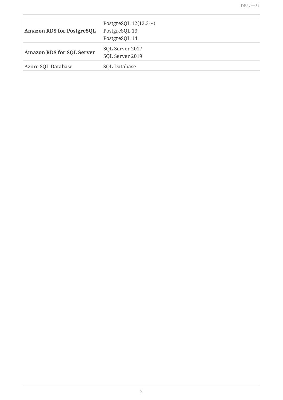| <b>Amazon RDS for PostgreSQL</b> | PostgreSQL $12(12.3\sim)$<br>PostgreSQL 13<br>PostgreSQL 14 |
|----------------------------------|-------------------------------------------------------------|
| <b>Amazon RDS for SQL Server</b> | SQL Server 2017<br>SQL Server 2019                          |
| Azure SQL Database               | SQL Database                                                |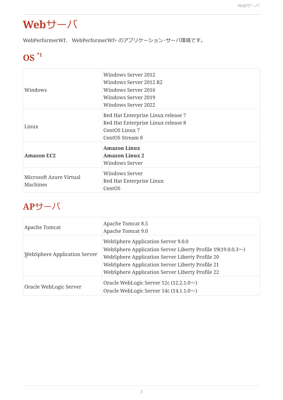## **Web**サーバ

WebPerformerWf、 WebPerformerWf+ のアプリケーション・サーバ環境です。

## **OS \*1**

| Windows                             | Windows Server 2012<br>Windows Server 2012 R2<br>Windows Server 2016<br>Windows Server 2019<br><b>Windows Server 2022</b> |
|-------------------------------------|---------------------------------------------------------------------------------------------------------------------------|
| Linux                               | Red Hat Enterprise Linux release 7<br>Red Hat Enterprise Linux release 8<br>CentOS Linux 7<br>CentOS Stream 8             |
| <b>Amazon EC2</b>                   | <b>Amazon Linux</b><br><b>Amazon Linux 2</b><br><b>Windows Server</b>                                                     |
| Microsoft Azure Virtual<br>Machines | <b>Windows Server</b><br>Red Hat Enterprise Linux<br>CentOS                                                               |

### **AP**サーバ

| Apache Tomcat                | Apache Tomcat 8.5<br>Apache Tomcat 9.0                                                                                                                                                                                                                         |
|------------------------------|----------------------------------------------------------------------------------------------------------------------------------------------------------------------------------------------------------------------------------------------------------------|
| WebSphere Application Server | WebSphere Application Server 9.0.0<br>WebSphere Application Server Liberty Profile $19(19.0.0.3\sim)$<br>WebSphere Application Server Liberty Profile 20<br>WebSphere Application Server Liberty Profile 21<br>WebSphere Application Server Liberty Profile 22 |
| Oracle WebLogic Server       | Oracle WebLogic Server 12c (12.2.1.0 $\sim$ )<br>Oracle WebLogic Server 14c $(14.1.1.0\sim)$                                                                                                                                                                   |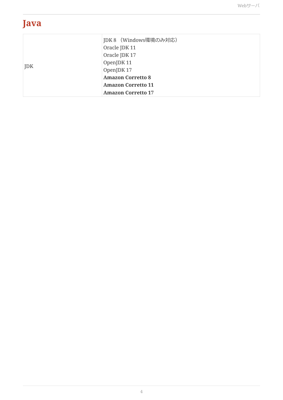### **Java**

| JDK | JDK 8 (Windows環境のみ対応)     |
|-----|---------------------------|
|     | Oracle JDK 11             |
|     | Oracle JDK 17             |
|     | OpenJDK 11                |
|     | OpenJDK 17                |
|     | <b>Amazon Corretto 8</b>  |
|     | <b>Amazon Corretto 11</b> |
|     | <b>Amazon Corretto 17</b> |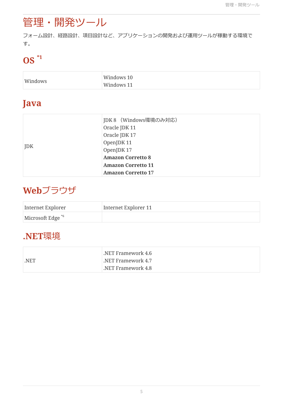## 管理・開発ツール

フォーム設計、経路設計、項目設計など、アプリケーションの開発および運用ツールが稼動する環境で す。

## **OS \*1**

| Windows | Windows 10 |
|---------|------------|
|         | Windows 11 |

### **Java**

|     | JDK 8 (Windows環境のみ対応)     |
|-----|---------------------------|
| JDK | Oracle JDK 11             |
|     | Oracle JDK 17             |
|     | OpenJDK 11                |
|     | OpenJDK 17                |
|     | <b>Amazon Corretto 8</b>  |
|     | <b>Amazon Corretto 11</b> |
|     | <b>Amazon Corretto 17</b> |

### **Web**ブラウザ

| Internet Explorer            | Internet Explorer 11 |
|------------------------------|----------------------|
| Microsoft Edge <sup>*6</sup> |                      |

### **.NET**環境

|      | $\,$ .NET Framework 4.6 $\,$ |
|------|------------------------------|
| .NET | .NET Framework $4.7\,$       |
|      | NET Framework 4.8            |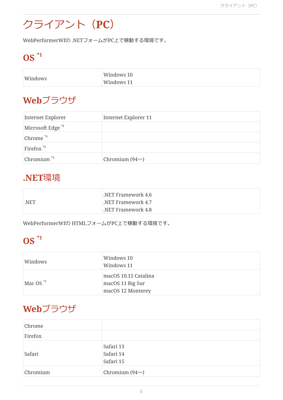## クライアント(**PC**)

WebPerformerWfの .NETフォームがPC上で稼動する環境です。

## **OS \*1**

| Windows | Windows 10 |
|---------|------------|
|         | Windows 11 |

### **Web**ブラウザ

| Internet Explorer            | Internet Explorer 11 |
|------------------------------|----------------------|
| Microsoft Edge <sup>*6</sup> |                      |
| Chrome <sup>*4</sup>         |                      |
| Firefox $*4$                 |                      |
| Chromium <sup>*4</sup>       | Chromium $(94\sim)$  |

### **.NET**環境

|      | NET Framework 4.6            |
|------|------------------------------|
| .NET | $\,$ .NET Framework 4.7 $\,$ |
|      | NET Framework 4.8            |

WebPerformerWfの HTMLフォームがPC上で稼動する環境です。

## **OS \*1**

| Windows                 | Windows 10<br>Windows 11                                      |
|-------------------------|---------------------------------------------------------------|
| Mac OS $*$ <sup>3</sup> | macOS 10.15 Catalina<br>macOS 11 Big Sur<br>macOS 12 Monterey |

### **Web**ブラウザ

| Chrome   |                                     |
|----------|-------------------------------------|
| Firefox  |                                     |
| Safari   | Safari 13<br>Safari 14<br>Safari 15 |
| Chromium | Chromium $(94\sim)$                 |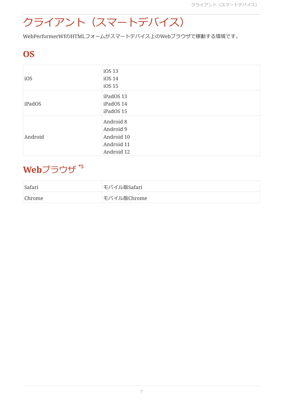# クライアント(スマートデバイス)

WebPerformerWfのHTMLフォームがスマートデバイス上のWebブラウザで稼動する環境です。

### **OS**

| iOS     | iOS 13<br>iOS 14<br>iOS 15                                       |
|---------|------------------------------------------------------------------|
| iPadOS  | iPadOS 13<br>iPadOS 14<br>iPadOS 15                              |
| Android | Android 8<br>Android 9<br>Android 10<br>Android 11<br>Android 12 |

## **Web**ブラウザ **\*5**

| Safari | モバイル版Safari |
|--------|-------------|
| Chrome | モバイル版Chrome |